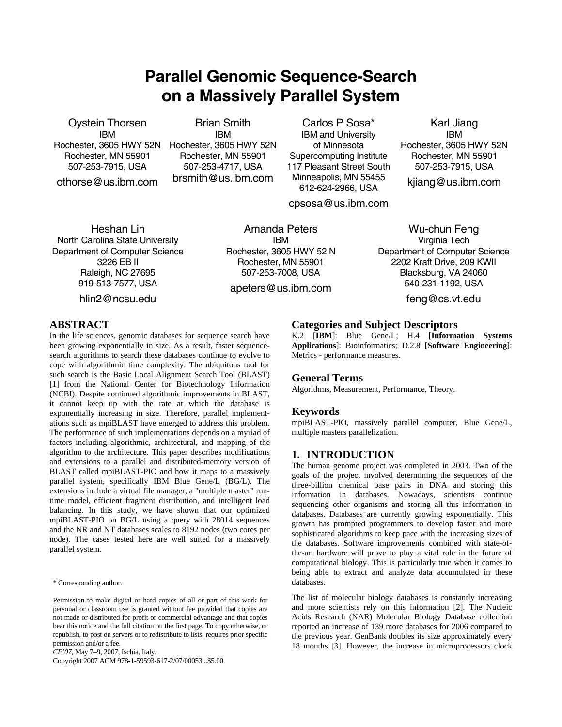# **Parallel Genomic Sequence-Search on a Massively Parallel System**

Oystein Thorsen IBM Rochester, 3605 HWY 52N Rochester, MN 55901 507-253-7915, USA

othorse@us.ibm.com

Brian Smith IBM Rochester, 3605 HWY 52N Rochester, MN 55901 507-253-4717, USA brsmith@us.ibm.com

Carlos P Sosa\* IBM and University of Minnesota Supercomputing Institute 117 Pleasant Street South Minneapolis, MN 55455 612-624-2966, USA

cpsosa@us.ibm.com

Heshan Lin North Carolina State University Department of Computer Science 3226 EB II Raleigh, NC 27695 919-513-7577, USA

hlin2@ncsu.edu

Amanda Peters IBM Rochester, 3605 HWY 52 N Rochester, MN 55901 507-253-7008, USA

apeters@us.ibm.com

Karl Jiang IBM Rochester, 3605 HWY 52N Rochester, MN 55901 507-253-7915, USA

kjiang@us.ibm.com

# Wu-chun Feng Virginia Tech Department of Computer Science 2202 Kraft Drive, 209 KWII Blacksburg, VA 24060 540-231-1192, USA

feng@cs.vt.edu

# **ABSTRACT**

In the life sciences, genomic databases for sequence search have been growing exponentially in size. As a result, faster sequencesearch algorithms to search these databases continue to evolve to cope with algorithmic time complexity. The ubiquitous tool for such search is the Basic Local Alignment Search Tool (BLAST) [1] from the National Center for Biotechnology Information (NCBI). Despite continued algorithmic improvements in BLAST, it cannot keep up with the rate at which the database is exponentially increasing in size. Therefore, parallel implementations such as mpiBLAST have emerged to address this problem. The performance of such implementations depends on a myriad of factors including algorithmic, architectural, and mapping of the algorithm to the architecture. This paper describes modifications and extensions to a parallel and distributed-memory version of BLAST called mpiBLAST-PIO and how it maps to a massively parallel system, specifically IBM Blue Gene/L (BG/L). The extensions include a virtual file manager, a "multiple master" runtime model, efficient fragment distribution, and intelligent load balancing. In this study, we have shown that our optimized mpiBLAST-PIO on BG/L using a query with 28014 sequences and the NR and NT databases scales to 8192 nodes (two cores per node). The cases tested here are well suited for a massively parallel system.

\* Corresponding author.

Permission to make digital or hard copies of all or part of this work for personal or classroom use is granted without fee provided that copies are not made or distributed for profit or commercial advantage and that copies bear this notice and the full citation on the first page. To copy otherwise, or republish, to post on servers or to redistribute to lists, requires prior specific permission and/or a fee.

*CF'07*, May 7–9, 2007, Ischia, Italy.

Copyright 2007 ACM 978-1-59593-617-2/07/00053...\$5.00.

### **Categories and Subject Descriptors**

K.2 [**IBM**]: Blue Gene/L; H.4 [**Information Systems Applications**]: Bioinformatics; D.2.8 [**Software Engineering**]: Metrics - performance measures.

# **General Terms**

Algorithms, Measurement, Performance, Theory.

# **Keywords**

mpiBLAST-PIO, massively parallel computer, Blue Gene/L, multiple masters parallelization.

# **1. INTRODUCTION**

The human genome project was completed in 2003. Two of the goals of the project involved determining the sequences of the three-billion chemical base pairs in DNA and storing this information in databases. Nowadays, scientists continue sequencing other organisms and storing all this information in databases. Databases are currently growing exponentially. This growth has prompted programmers to develop faster and more sophisticated algorithms to keep pace with the increasing sizes of the databases. Software improvements combined with state-ofthe-art hardware will prove to play a vital role in the future of computational biology. This is particularly true when it comes to being able to extract and analyze data accumulated in these databases.

The list of molecular biology databases is constantly increasing and more scientists rely on this information [2]. The Nucleic Acids Research (NAR) Molecular Biology Database collection reported an increase of 139 more databases for 2006 compared to the previous year. GenBank doubles its size approximately every 18 months [3]. However, the increase in microprocessors clock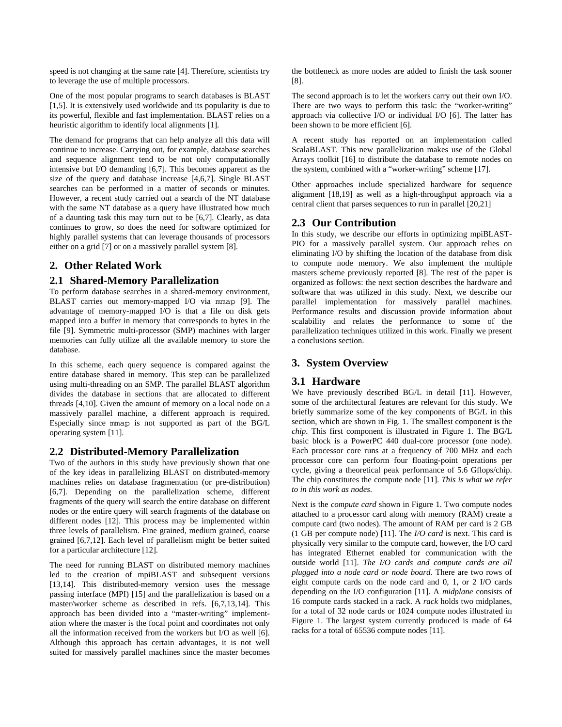speed is not changing at the same rate [4]. Therefore, scientists try to leverage the use of multiple processors.

One of the most popular programs to search databases is BLAST [1,5]. It is extensively used worldwide and its popularity is due to its powerful, flexible and fast implementation. BLAST relies on a heuristic algorithm to identify local alignments [1].

The demand for programs that can help analyze all this data will continue to increase. Carrying out, for example, database searches and sequence alignment tend to be not only computationally intensive but I/O demanding [6,7]. This becomes apparent as the size of the query and database increase [4,6,7]. Single BLAST searches can be performed in a matter of seconds or minutes. However, a recent study carried out a search of the NT database with the same NT database as a query have illustrated how much of a daunting task this may turn out to be [6,7]. Clearly, as data continues to grow, so does the need for software optimized for highly parallel systems that can leverage thousands of processors either on a grid [7] or on a massively parallel system [8].

# **2. Other Related Work**

# **2.1 Shared-Memory Parallelization**

To perform database searches in a shared-memory environment, BLAST carries out memory-mapped I/O via mmap [9]. The advantage of memory-mapped I/O is that a file on disk gets mapped into a buffer in memory that corresponds to bytes in the file [9]. Symmetric multi-processor (SMP) machines with larger memories can fully utilize all the available memory to store the database.

In this scheme, each query sequence is compared against the entire database shared in memory. This step can be parallelized using multi-threading on an SMP. The parallel BLAST algorithm divides the database in sections that are allocated to different threads [4,10]. Given the amount of memory on a local node on a massively parallel machine, a different approach is required. Especially since mmap is not supported as part of the BG/L operating system [11].

# **2.2 Distributed-Memory Parallelization**

Two of the authors in this study have previously shown that one of the key ideas in parallelizing BLAST on distributed-memory machines relies on database fragmentation (or pre-distribution) [6,7]. Depending on the parallelization scheme, different fragments of the query will search the entire database on different nodes or the entire query will search fragments of the database on different nodes [12]. This process may be implemented within three levels of parallelism. Fine grained, medium grained, coarse grained [6,7,12]. Each level of parallelism might be better suited for a particular architecture [12].

The need for running BLAST on distributed memory machines led to the creation of mpiBLAST and subsequent versions [13,14]. This distributed-memory version uses the message passing interface (MPI) [15] and the parallelization is based on a master/worker scheme as described in refs. [6,7,13,14]. This approach has been divided into a "master-writing" implementation where the master is the focal point and coordinates not only all the information received from the workers but I/O as well [6]. Although this approach has certain advantages, it is not well suited for massively parallel machines since the master becomes

the bottleneck as more nodes are added to finish the task sooner [8].

The second approach is to let the workers carry out their own I/O. There are two ways to perform this task: the "worker-writing" approach via collective I/O or individual I/O [6]. The latter has been shown to be more efficient [6].

A recent study has reported on an implementation called ScalaBLAST. This new parallelization makes use of the Global Arrays toolkit [16] to distribute the database to remote nodes on the system, combined with a "worker-writing" scheme [17].

Other approaches include specialized hardware for sequence alignment [18,19] as well as a high-throughput approach via a central client that parses sequences to run in parallel [20,21]

# **2.3 Our Contribution**

In this study, we describe our efforts in optimizing mpiBLAST-PIO for a massively parallel system. Our approach relies on eliminating I/O by shifting the location of the database from disk to compute node memory. We also implement the multiple masters scheme previously reported [8]. The rest of the paper is organized as follows: the next section describes the hardware and software that was utilized in this study. Next, we describe our parallel implementation for massively parallel machines. Performance results and discussion provide information about scalability and relates the performance to some of the parallelization techniques utilized in this work. Finally we present a conclusions section.

# **3. System Overview**

# **3.1 Hardware**

We have previously described BG/L in detail [11]. However, some of the architectural features are relevant for this study. We briefly summarize some of the key components of BG/L in this section, which are shown in Fig. 1. The smallest component is the *chip*. This first component is illustrated in Figure 1. The BG/L basic block is a PowerPC 440 dual-core processor (one node). Each processor core runs at a frequency of 700 MHz and each processor core can perform four floating-point operations per cycle, giving a theoretical peak performance of 5.6 Gflops/chip. The chip constitutes the compute node [11]. *This is what we refer to in this work as nodes*.

Next is the *compute card* shown in Figure 1. Two compute nodes attached to a processor card along with memory (RAM) create a compute card (two nodes). The amount of RAM per card is 2 GB (1 GB per compute node) [11]. The *I/O card* is next. This card is physically very similar to the compute card, however, the I/O card has integrated Ethernet enabled for communication with the outside world [11]. *The I/O cards and compute cards are all plugged into a node card or node board.* There are two rows of eight compute cards on the node card and 0, 1, or 2 I/O cards depending on the I/O configuration [11]. A *midplane* consists of 16 compute cards stacked in a rack. A *rack* holds two midplanes, for a total of 32 node cards or 1024 compute nodes illustrated in Figure 1. The largest system currently produced is made of 64 racks for a total of 65536 compute nodes [11].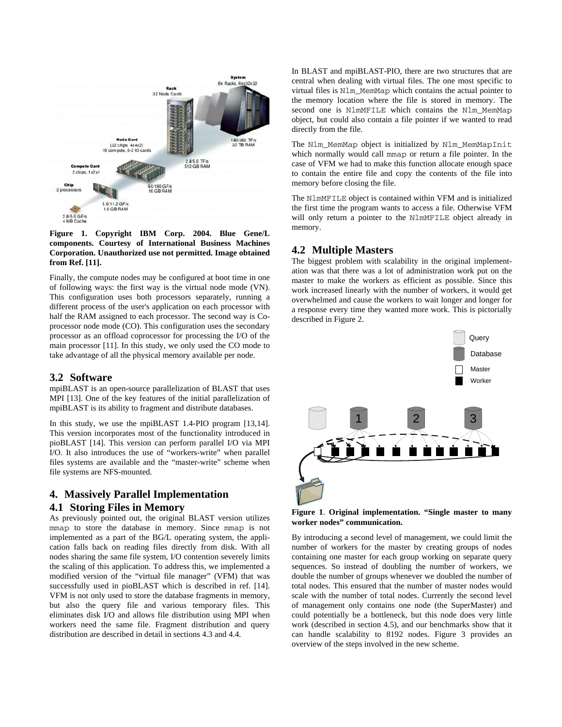

**Figure 1. Copyright IBM Corp. 2004. Blue Gene/L components. Courtesy of International Business Machines Corporation. Unauthorized use not permitted. Image obtained from Ref. [11].** 

Finally, the compute nodes may be configured at boot time in one of following ways: the first way is the virtual node mode (VN). This configuration uses both processors separately, running a different process of the user's application on each processor with half the RAM assigned to each processor. The second way is Coprocessor node mode (CO). This configuration uses the secondary processor as an offload coprocessor for processing the I/O of the main processor [11]. In this study, we only used the CO mode to take advantage of all the physical memory available per node.

### **3.2 Software**

mpiBLAST is an open-source parallelization of BLAST that uses MPI [13]. One of the key features of the initial parallelization of mpiBLAST is its ability to fragment and distribute databases.

In this study, we use the mpiBLAST 1.4-PIO program [13,14]. This version incorporates most of the functionality introduced in pioBLAST [14]. This version can perform parallel I/O via MPI I/O. It also introduces the use of "workers-write" when parallel files systems are available and the "master-write" scheme when file systems are NFS-mounted.

# **4. Massively Parallel Implementation 4.1 Storing Files in Memory**

As previously pointed out, the original BLAST version utilizes mmap to store the database in memory. Since mmap is not implemented as a part of the BG/L operating system, the application falls back on reading files directly from disk. With all nodes sharing the same file system, I/O contention severely limits the scaling of this application. To address this, we implemented a modified version of the "virtual file manager" (VFM) that was successfully used in pioBLAST which is described in ref. [14]. VFM is not only used to store the database fragments in memory, but also the query file and various temporary files. This eliminates disk I/O and allows file distribution using MPI when workers need the same file. Fragment distribution and query distribution are described in detail in sections 4.3 and 4.4.

In BLAST and mpiBLAST-PIO, there are two structures that are central when dealing with virtual files. The one most specific to virtual files is Nlm\_MemMap which contains the actual pointer to the memory location where the file is stored in memory. The second one is NlmMFILE which contains the Nlm\_MemMap object, but could also contain a file pointer if we wanted to read directly from the file.

The Nlm\_MemMap object is initialized by Nlm\_MemMapInit which normally would call mmap or return a file pointer. In the case of VFM we had to make this function allocate enough space to contain the entire file and copy the contents of the file into memory before closing the file.

The NlmMFILE object is contained within VFM and is initialized the first time the program wants to access a file. Otherwise VFM will only return a pointer to the NlmMFILE object already in memory.

# **4.2 Multiple Masters**

The biggest problem with scalability in the original implementation was that there was a lot of administration work put on the master to make the workers as efficient as possible. Since this work increased linearly with the number of workers, it would get overwhelmed and cause the workers to wait longer and longer for a response every time they wanted more work. This is pictorially described in Figure 2.



**Figure 1**. **Original implementation. "Single master to many worker nodes" communication.**

By introducing a second level of management, we could limit the number of workers for the master by creating groups of nodes containing one master for each group working on separate query sequences. So instead of doubling the number of workers, we double the number of groups whenever we doubled the number of total nodes. This ensured that the number of master nodes would scale with the number of total nodes. Currently the second level of management only contains one node (the SuperMaster) and could potentially be a bottleneck, but this node does very little work (described in section 4.5), and our benchmarks show that it can handle scalability to 8192 nodes. Figure 3 provides an overview of the steps involved in the new scheme.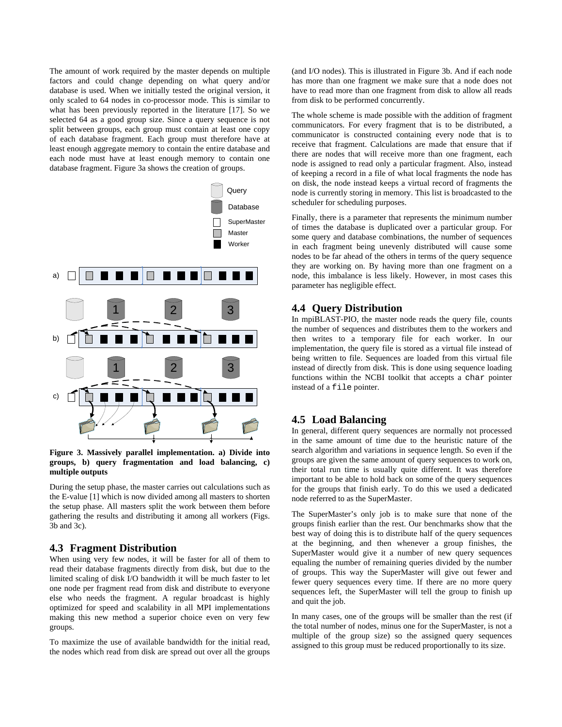The amount of work required by the master depends on multiple factors and could change depending on what query and/or database is used. When we initially tested the original version, it only scaled to 64 nodes in co-processor mode. This is similar to what has been previously reported in the literature [17]. So we selected 64 as a good group size. Since a query sequence is not split between groups, each group must contain at least one copy of each database fragment. Each group must therefore have at least enough aggregate memory to contain the entire database and each node must have at least enough memory to contain one database fragment. Figure 3a shows the creation of groups.



**Figure 3. Massively parallel implementation. a) Divide into groups, b) query fragmentation and load balancing, c) multiple outputs**

During the setup phase, the master carries out calculations such as the E-value [1] which is now divided among all masters to shorten the setup phase. All masters split the work between them before gathering the results and distributing it among all workers (Figs. 3b and 3c).

### **4.3 Fragment Distribution**

When using very few nodes, it will be faster for all of them to read their database fragments directly from disk, but due to the limited scaling of disk I/O bandwidth it will be much faster to let one node per fragment read from disk and distribute to everyone else who needs the fragment. A regular broadcast is highly optimized for speed and scalability in all MPI implementations making this new method a superior choice even on very few groups.

To maximize the use of available bandwidth for the initial read, the nodes which read from disk are spread out over all the groups (and I/O nodes). This is illustrated in Figure 3b. And if each node has more than one fragment we make sure that a node does not have to read more than one fragment from disk to allow all reads from disk to be performed concurrently.

The whole scheme is made possible with the addition of fragment communicators. For every fragment that is to be distributed, a communicator is constructed containing every node that is to receive that fragment. Calculations are made that ensure that if there are nodes that will receive more than one fragment, each node is assigned to read only a particular fragment. Also, instead of keeping a record in a file of what local fragments the node has on disk, the node instead keeps a virtual record of fragments the node is currently storing in memory. This list is broadcasted to the scheduler for scheduling purposes.

Finally, there is a parameter that represents the minimum number of times the database is duplicated over a particular group. For some query and database combinations, the number of sequences in each fragment being unevenly distributed will cause some nodes to be far ahead of the others in terms of the query sequence they are working on. By having more than one fragment on a node, this imbalance is less likely. However, in most cases this parameter has negligible effect.

# **4.4 Query Distribution**

In mpiBLAST-PIO, the master node reads the query file, counts the number of sequences and distributes them to the workers and then writes to a temporary file for each worker. In our implementation, the query file is stored as a virtual file instead of being written to file. Sequences are loaded from this virtual file instead of directly from disk. This is done using sequence loading functions within the NCBI toolkit that accepts a char pointer instead of a file pointer.

# **4.5 Load Balancing**

In general, different query sequences are normally not processed in the same amount of time due to the heuristic nature of the search algorithm and variations in sequence length. So even if the groups are given the same amount of query sequences to work on, their total run time is usually quite different. It was therefore important to be able to hold back on some of the query sequences for the groups that finish early. To do this we used a dedicated node referred to as the SuperMaster.

The SuperMaster's only job is to make sure that none of the groups finish earlier than the rest. Our benchmarks show that the best way of doing this is to distribute half of the query sequences at the beginning, and then whenever a group finishes, the SuperMaster would give it a number of new query sequences equaling the number of remaining queries divided by the number of groups. This way the SuperMaster will give out fewer and fewer query sequences every time. If there are no more query sequences left, the SuperMaster will tell the group to finish up and quit the job.

In many cases, one of the groups will be smaller than the rest (if the total number of nodes, minus one for the SuperMaster, is not a multiple of the group size) so the assigned query sequences assigned to this group must be reduced proportionally to its size.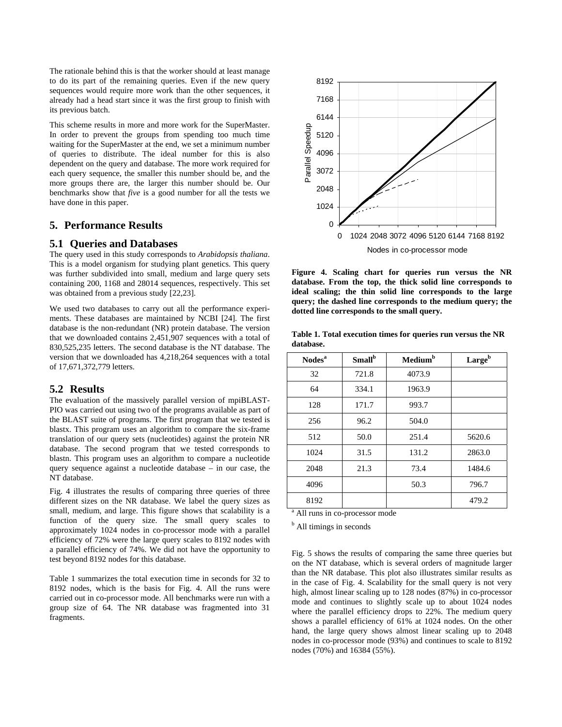The rationale behind this is that the worker should at least manage to do its part of the remaining queries. Even if the new query sequences would require more work than the other sequences, it already had a head start since it was the first group to finish with its previous batch.

This scheme results in more and more work for the SuperMaster. In order to prevent the groups from spending too much time waiting for the SuperMaster at the end, we set a minimum number of queries to distribute. The ideal number for this is also dependent on the query and database. The more work required for each query sequence, the smaller this number should be, and the more groups there are, the larger this number should be. Our benchmarks show that *five* is a good number for all the tests we have done in this paper.

### **5. Performance Results**

#### **5.1 Queries and Databases**

The query used in this study corresponds to *Arabidopsis thaliana*. This is a model organism for studying plant genetics. This query was further subdivided into small, medium and large query sets containing 200, 1168 and 28014 sequences, respectively. This set was obtained from a previous study [22,23].

We used two databases to carry out all the performance experiments. These databases are maintained by NCBI [24]. The first database is the non-redundant (NR) protein database. The version that we downloaded contains 2,451,907 sequences with a total of 830,525,235 letters. The second database is the NT database. The version that we downloaded has 4,218,264 sequences with a total of 17,671,372,779 letters.

### **5.2 Results**

The evaluation of the massively parallel version of mpiBLAST-PIO was carried out using two of the programs available as part of the BLAST suite of programs. The first program that we tested is blastx. This program uses an algorithm to compare the six-frame translation of our query sets (nucleotides) against the protein NR database. The second program that we tested corresponds to blastn. This program uses an algorithm to compare a nucleotide query sequence against a nucleotide database – in our case, the NT database.

Fig. 4 illustrates the results of comparing three queries of three different sizes on the NR database. We label the query sizes as small, medium, and large. This figure shows that scalability is a function of the query size. The small query scales to approximately 1024 nodes in co-processor mode with a parallel efficiency of 72% were the large query scales to 8192 nodes with a parallel efficiency of 74%. We did not have the opportunity to test beyond 8192 nodes for this database.

Table 1 summarizes the total execution time in seconds for 32 to 8192 nodes, which is the basis for Fig. 4. All the runs were carried out in co-processor mode. All benchmarks were run with a group size of 64. The NR database was fragmented into 31 fragments.



**Figure 4. Scaling chart for queries run versus the NR database. From the top, the thick solid line corresponds to ideal scaling; the thin solid line corresponds to the large query; the dashed line corresponds to the medium query; the dotted line corresponds to the small query.** 

**Table 1. Total execution times for queries run versus the NR database.** 

| Nodes <sup>a</sup> | Small <sup>b</sup> | Medium <sup>b</sup> | Largeb |
|--------------------|--------------------|---------------------|--------|
| 32                 | 721.8              | 4073.9              |        |
| 64                 | 334.1              | 1963.9              |        |
| 128                | 171.7              | 993.7               |        |
| 256                | 96.2               | 504.0               |        |
| 512                | 50.0               | 251.4               | 5620.6 |
| 1024               | 31.5               | 131.2               | 2863.0 |
| 2048               | 21.3               | 73.4                | 1484.6 |
| 4096               |                    | 50.3                | 796.7  |
| 8192               |                    |                     | 479.2  |

<sup>a</sup> All runs in co-processor mode

<sup>b</sup> All timings in seconds

Fig. 5 shows the results of comparing the same three queries but on the NT database, which is several orders of magnitude larger than the NR database. This plot also illustrates similar results as in the case of Fig. 4. Scalability for the small query is not very high, almost linear scaling up to 128 nodes (87%) in co-processor mode and continues to slightly scale up to about 1024 nodes where the parallel efficiency drops to 22%. The medium query shows a parallel efficiency of 61% at 1024 nodes. On the other hand, the large query shows almost linear scaling up to 2048 nodes in co-processor mode (93%) and continues to scale to 8192 nodes (70%) and 16384 (55%).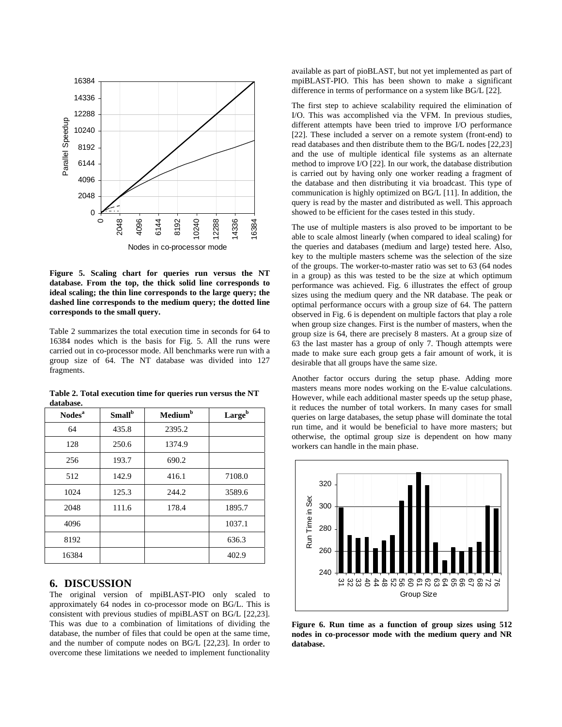

**Figure 5. Scaling chart for queries run versus the NT database. From the top, the thick solid line corresponds to ideal scaling; the thin line corresponds to the large query; the dashed line corresponds to the medium query; the dotted line corresponds to the small query.** 

Table 2 summarizes the total execution time in seconds for 64 to 16384 nodes which is the basis for Fig. 5. All the runs were carried out in co-processor mode. All benchmarks were run with a group size of 64. The NT database was divided into 127 fragments.

| Table 2. Total execution time for queries run versus the NT<br>database. |                           |                     |                    |  |  |
|--------------------------------------------------------------------------|---------------------------|---------------------|--------------------|--|--|
| Nodes <sup>a</sup>                                                       | <b>Small</b> <sup>b</sup> | Medium <sup>b</sup> | Large <sup>b</sup> |  |  |

| Nodes <sup>a</sup> | Small <sup>b</sup> | Medium <sup>b</sup> | Largeb |
|--------------------|--------------------|---------------------|--------|
| 64                 | 435.8              | 2395.2              |        |
| 128                | 250.6              | 1374.9              |        |
| 256                | 193.7              | 690.2               |        |
| 512                | 142.9              | 416.1               | 7108.0 |
| 1024               | 125.3              | 244.2               | 3589.6 |
| 2048               | 111.6              | 178.4               | 1895.7 |
| 4096               |                    |                     | 1037.1 |
| 8192               |                    |                     | 636.3  |
| 16384              |                    |                     | 402.9  |

### **6. DISCUSSION**

The original version of mpiBLAST-PIO only scaled to approximately 64 nodes in co-processor mode on BG/L. This is consistent with previous studies of mpiBLAST on BG/L [22,23]. This was due to a combination of limitations of dividing the database, the number of files that could be open at the same time, and the number of compute nodes on BG/L [22,23]. In order to overcome these limitations we needed to implement functionality

available as part of pioBLAST, but not yet implemented as part of mpiBLAST-PIO. This has been shown to make a significant difference in terms of performance on a system like BG/L [22].

The first step to achieve scalability required the elimination of I/O. This was accomplished via the VFM. In previous studies, different attempts have been tried to improve I/O performance [22]. These included a server on a remote system (front-end) to read databases and then distribute them to the BG/L nodes [22,23] and the use of multiple identical file systems as an alternate method to improve I/O [22]. In our work, the database distribution is carried out by having only one worker reading a fragment of the database and then distributing it via broadcast. This type of communication is highly optimized on BG/L [11]. In addition, the query is read by the master and distributed as well. This approach showed to be efficient for the cases tested in this study.

The use of multiple masters is also proved to be important to be able to scale almost linearly (when compared to ideal scaling) for the queries and databases (medium and large) tested here. Also, key to the multiple masters scheme was the selection of the size of the groups. The worker-to-master ratio was set to 63 (64 nodes in a group) as this was tested to be the size at which optimum performance was achieved. Fig. 6 illustrates the effect of group sizes using the medium query and the NR database. The peak or optimal performance occurs with a group size of 64. The pattern observed in Fig. 6 is dependent on multiple factors that play a role when group size changes. First is the number of masters, when the group size is 64, there are precisely 8 masters. At a group size of 63 the last master has a group of only 7. Though attempts were made to make sure each group gets a fair amount of work, it is desirable that all groups have the same size.

Another factor occurs during the setup phase. Adding more masters means more nodes working on the E-value calculations. However, while each additional master speeds up the setup phase, it reduces the number of total workers. In many cases for small queries on large databases, the setup phase will dominate the total run time, and it would be beneficial to have more masters; but otherwise, the optimal group size is dependent on how many workers can handle in the main phase.



**Figure 6. Run time as a function of group sizes using 512 nodes in co-processor mode with the medium query and NR database.**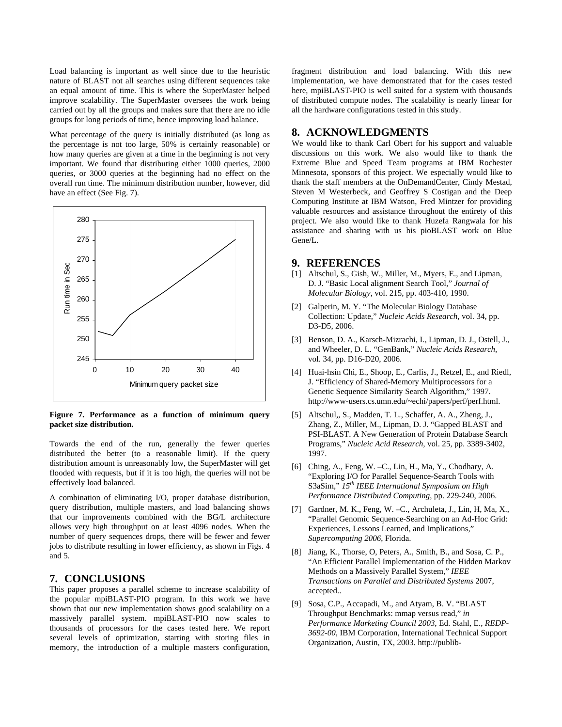Load balancing is important as well since due to the heuristic nature of BLAST not all searches using different sequences take an equal amount of time. This is where the SuperMaster helped improve scalability. The SuperMaster oversees the work being carried out by all the groups and makes sure that there are no idle groups for long periods of time, hence improving load balance.

What percentage of the query is initially distributed (as long as the percentage is not too large, 50% is certainly reasonable) or how many queries are given at a time in the beginning is not very important. We found that distributing either 1000 queries, 2000 queries, or 3000 queries at the beginning had no effect on the overall run time. The minimum distribution number, however, did have an effect (See Fig. 7).



**Figure 7. Performance as a function of minimum query packet size distribution.** 

Towards the end of the run, generally the fewer queries distributed the better (to a reasonable limit). If the query distribution amount is unreasonably low, the SuperMaster will get flooded with requests, but if it is too high, the queries will not be effectively load balanced.

A combination of eliminating I/O, proper database distribution, query distribution, multiple masters, and load balancing shows that our improvements combined with the BG/L architecture allows very high throughput on at least 4096 nodes. When the number of query sequences drops, there will be fewer and fewer jobs to distribute resulting in lower efficiency, as shown in Figs. 4 and 5.

### **7. CONCLUSIONS**

This paper proposes a parallel scheme to increase scalability of the popular mpiBLAST-PIO program. In this work we have shown that our new implementation shows good scalability on a massively parallel system. mpiBLAST-PIO now scales to thousands of processors for the cases tested here. We report several levels of optimization, starting with storing files in memory, the introduction of a multiple masters configuration,

fragment distribution and load balancing. With this new implementation, we have demonstrated that for the cases tested here, mpiBLAST-PIO is well suited for a system with thousands of distributed compute nodes. The scalability is nearly linear for all the hardware configurations tested in this study.

### **8. ACKNOWLEDGMENTS**

We would like to thank Carl Obert for his support and valuable discussions on this work. We also would like to thank the Extreme Blue and Speed Team programs at IBM Rochester Minnesota, sponsors of this project. We especially would like to thank the staff members at the OnDemandCenter, Cindy Mestad, Steven M Westerbeck, and Geoffrey S Costigan and the Deep Computing Institute at IBM Watson, Fred Mintzer for providing valuable resources and assistance throughout the entirety of this project. We also would like to thank Huzefa Rangwala for his assistance and sharing with us his pioBLAST work on Blue Gene/L.

### **9. REFERENCES**

- [1] Altschul, S., Gish, W., Miller, M., Myers, E., and Lipman, D. J. "Basic Local alignment Search Tool," *Journal of Molecular Biology*, vol. 215, pp. 403-410, 1990.
- [2] Galperin, M. Y. "The Molecular Biology Database Collection: Update," *Nucleic Acids Research*, vol. 34, pp. D3-D5, 2006.
- [3] Benson, D. A., Karsch-Mizrachi, I., Lipman, D. J., Ostell, J., and Wheeler, D. L. "GenBank," *Nucleic Acids Research*, vol. 34, pp. D16-D20, 2006.
- [4] Huai-hsin Chi, E., Shoop, E., Carlis, J., Retzel, E., and Riedl, J. "Efficiency of Shared-Memory Multiprocessors for a Genetic Sequence Similarity Search Algorithm," 1997. http://www-users.cs.umn.edu/~echi/papers/perf/perf.html.
- [5] Altschul,, S., Madden, T. L., Schaffer, A. A., Zheng, J., Zhang, Z., Miller, M., Lipman, D. J. "Gapped BLAST and PSI-BLAST. A New Generation of Protein Database Search Programs," *Nucleic Acid Research*, vol. 25, pp. 3389-3402, 1997.
- [6] Ching, A., Feng, W. –C., Lin, H., Ma, Y., Chodhary, A. "Exploring I/O for Parallel Sequence-Search Tools with S3aSim," *15th IEEE International Symposium on High Performance Distributed Computing*, pp. 229-240, 2006.
- [7] Gardner, M. K., Feng, W. –C., Archuleta, J., Lin, H, Ma, X., "Parallel Genomic Sequence-Searching on an Ad-Hoc Grid: Experiences, Lessons Learned, and Implications," *Supercomputing 2006*, Florida.
- [8] Jiang, K., Thorse, O, Peters, A., Smith, B., and Sosa, C. P., "An Efficient Parallel Implementation of the Hidden Markov Methods on a Massively Parallel System," *IEEE Transactions on Parallel and Distributed Systems* 2007, accepted..
- [9] Sosa, C.P., Accapadi, M., and Atyam, B. V. "BLAST Throughput Benchmarks: mmap versus read," *in Performance Marketing Council 2003*, Ed. Stahl, E., *REDP-3692-00*, IBM Corporation, International Technical Support Organization, Austin, TX, 2003. http://publib-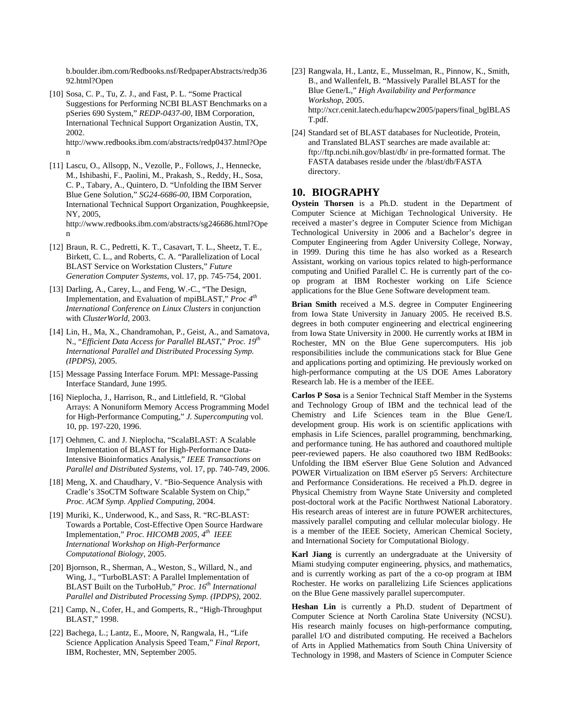b.boulder.ibm.com/Redbooks.nsf/RedpaperAbstracts/redp36 92.html?Open

[10] Sosa, C. P., Tu, Z. J., and Fast, P. L. "Some Practical Suggestions for Performing NCBI BLAST Benchmarks on a pSeries 690 System," *REDP-0437-00*, IBM Corporation, International Technical Support Organization Austin, TX, 2002. http://www.redbooks.ibm.com/abstracts/redp0437.html?Ope

n

- [11] Lascu, O., Allsopp, N., Vezolle, P., Follows, J., Hennecke, M., Ishibashi, F., Paolini, M., Prakash, S., Reddy, H., Sosa, C. P., Tabary, A., Quintero, D. "Unfolding the IBM Server Blue Gene Solution," *SG24-6686-00*, IBM Corporation, International Technical Support Organization, Poughkeepsie, NY, 2005, http://www.redbooks.ibm.com/abstracts/sg246686.html?Ope n
- [12] Braun, R. C., Pedretti, K. T., Casavart, T. L., Sheetz, T. E., Birkett, C. L., and Roberts, C. A. "Parallelization of Local BLAST Service on Workstation Clusters," *Future Generation Computer Systems*, vol. 17, pp. 745-754, 2001.
- [13] Darling, A., Carey, L., and Feng, W.-C., "The Design, Implementation, and Evaluation of mpiBLAST," *Proc 4th International Conference on Linux Clusters* in conjunction with *ClusterWorld*, 2003.
- [14] Lin, H., Ma, X., Chandramohan, P., Geist, A., and Samatova, N., "*Efficient Data Access for Parallel BLAST*," *Proc. 19th International Parallel and Distributed Processing Symp. (IPDPS)*, 2005.
- [15] Message Passing Interface Forum. MPI: Message-Passing Interface Standard, June 1995.
- [16] Nieplocha, J., Harrison, R., and Littlefield, R. "Global" Arrays: A Nonuniform Memory Access Programming Model for High-Performance Computing," *J. Supercomputing* vol. 10, pp. 197-220, 1996.
- [17] Oehmen, C. and J. Nieplocha, "ScalaBLAST: A Scalable Implementation of BLAST for High-Performance Data-Intensive Bioinformatics Analysis," *IEEE Transactions on Parallel and Distributed Systems*, vol. 17, pp. 740-749, 2006.
- [18] Meng, X. and Chaudhary, V. "Bio-Sequence Analysis with Cradle's 3SoCTM Software Scalable System on Chip," *Proc. ACM Symp. Applied Computing*, 2004.
- [19] Muriki, K., Underwood, K., and Sass, R. "RC-BLAST: Towards a Portable, Cost-Effective Open Source Hardware Implementation," *Proc. HICOMB 2005, 4th IEEE International Workshop on High-Performance Computational Biology*, 2005.
- [20] Bjornson, R., Sherman, A., Weston, S., Willard, N., and Wing, J., "TurboBLAST: A Parallel Implementation of BLAST Built on the TurboHub*,*" *Proc. 16th International Parallel and Distributed Processing Symp. (IPDPS)*, 2002.
- [21] Camp, N., Cofer, H., and Gomperts, R., "High-Throughput BLAST," 1998.
- [22] Bachega, L.; Lantz, E., Moore, N, Rangwala, H., "Life Science Application Analysis Speed Team," *Final Report*, IBM, Rochester, MN, September 2005.
- [23] Rangwala, H., Lantz, E., Musselman, R., Pinnow, K., Smith, B., and Wallenfelt, B. "Massively Parallel BLAST for the Blue Gene/L," *High Availability and Performance Workshop*, 2005. http://xcr.cenit.latech.edu/hapcw2005/papers/final\_bglBLAS T.pdf.
- [24] Standard set of BLAST databases for Nucleotide, Protein, and Translated BLAST searches are made available at: ftp://ftp.ncbi.nih.gov/blast/db/ in pre-formatted format. The FASTA databases reside under the /blast/db/FASTA directory.

# **10. BIOGRAPHY**

**Oystein Thorsen** is a Ph.D. student in the Department of Computer Science at Michigan Technological University. He received a master's degree in Computer Science from Michigan Technological University in 2006 and a Bachelor's degree in Computer Engineering from Agder University College, Norway, in 1999. During this time he has also worked as a Research Assistant, working on various topics related to high-performance computing and Unified Parallel C. He is currently part of the coop program at IBM Rochester working on Life Science applications for the Blue Gene Software development team.

**Brian Smith** received a M.S. degree in Computer Engineering from Iowa State University in January 2005. He received B.S. degrees in both computer engineering and electrical engineering from Iowa State University in 2000. He currently works at IBM in Rochester, MN on the Blue Gene supercomputers. His job responsibilities include the communications stack for Blue Gene and applications porting and optimizing. He previously worked on high-performance computing at the US DOE Ames Laboratory Research lab. He is a member of the IEEE.

**Carlos P Sosa** is a Senior Technical Staff Member in the Systems and Technology Group of IBM and the technical lead of the Chemistry and Life Sciences team in the Blue Gene/L development group. His work is on scientific applications with emphasis in Life Sciences, parallel programming, benchmarking, and performance tuning. He has authored and coauthored multiple peer-reviewed papers. He also coauthored two IBM RedBooks: Unfolding the IBM eServer Blue Gene Solution and Advanced POWER Virtualization on IBM eServer p5 Servers: Architecture and Performance Considerations. He received a Ph.D. degree in Physical Chemistry from Wayne State University and completed post-doctoral work at the Pacific Northwest National Laboratory. His research areas of interest are in future POWER architectures, massively parallel computing and cellular molecular biology. He is a member of the IEEE Society, American Chemical Society, and International Society for Computational Biology.

**Karl Jiang** is currently an undergraduate at the University of Miami studying computer engineering, physics, and mathematics, and is currently working as part of the a co-op program at IBM Rochester. He works on parallelizing Life Sciences applications on the Blue Gene massively parallel supercomputer.

**Heshan Lin** is currently a Ph.D. student of Department of Computer Science at North Carolina State University (NCSU). His research mainly focuses on high-performance computing, parallel I/O and distributed computing. He received a Bachelors of Arts in Applied Mathematics from South China University of Technology in 1998, and Masters of Science in Computer Science